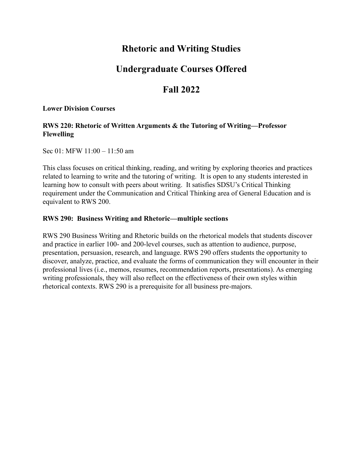# **Rhetoric and Writing Studies**

# **Undergraduate Courses Offered**

# **Fall 2022**

## **Lower Division Courses**

# **RWS 220: Rhetoric of Written Arguments & the Tutoring of Writing—Professor Flewelling**

Sec 01: MFW 11:00 – 11:50 am

This class focuses on critical thinking, reading, and writing by exploring theories and practices related to learning to write and the tutoring of writing. It is open to any students interested in learning how to consult with peers about writing. It satisfies SDSU's Critical Thinking requirement under the Communication and Critical Thinking area of General Education and is equivalent to RWS 200.

# **RWS 290: Business Writing and Rhetoric—multiple sections**

RWS 290 Business Writing and Rhetoric builds on the rhetorical models that students discover and practice in earlier 100- and 200-level courses, such as attention to audience, purpose, presentation, persuasion, research, and language. RWS 290 offers students the opportunity to discover, analyze, practice, and evaluate the forms of communication they will encounter in their professional lives (i.e., memos, resumes, recommendation reports, presentations). As emerging writing professionals, they will also reflect on the effectiveness of their own styles within rhetorical contexts. RWS 290 is a prerequisite for all business pre-majors.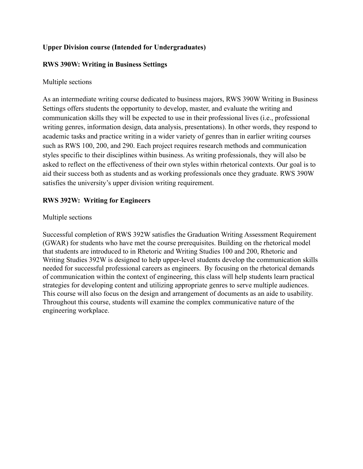# **Upper Division course (Intended for Undergraduates)**

# **RWS 390W: Writing in Business Settings**

# Multiple sections

As an intermediate writing course dedicated to business majors, RWS 390W Writing in Business Settings offers students the opportunity to develop, master, and evaluate the writing and communication skills they will be expected to use in their professional lives (i.e., professional writing genres, information design, data analysis, presentations). In other words, they respond to academic tasks and practice writing in a wider variety of genres than in earlier writing courses such as RWS 100, 200, and 290. Each project requires research methods and communication styles specific to their disciplines within business. As writing professionals, they will also be asked to reflect on the effectiveness of their own styles within rhetorical contexts. Our goal is to aid their success both as students and as working professionals once they graduate. RWS 390W satisfies the university's upper division writing requirement.

# **RWS 392W: Writing for Engineers**

# Multiple sections

Successful completion of RWS 392W satisfies the Graduation Writing Assessment Requirement (GWAR) for students who have met the course prerequisites. Building on the rhetorical model that students are introduced to in Rhetoric and Writing Studies 100 and 200, Rhetoric and Writing Studies 392W is designed to help upper-level students develop the communication skills needed for successful professional careers as engineers. By focusing on the rhetorical demands of communication within the context of engineering, this class will help students learn practical strategies for developing content and utilizing appropriate genres to serve multiple audiences. This course will also focus on the design and arrangement of documents as an aide to usability. Throughout this course, students will examine the complex communicative nature of the engineering workplace.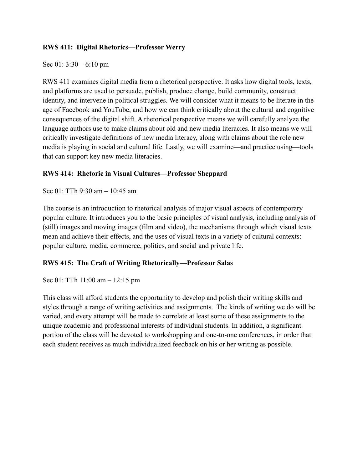# **RWS 411: Digital Rhetorics—Professor Werry**

Sec 01: 3:30 – 6:10 pm

RWS 411 examines digital media from a rhetorical perspective. It asks how digital tools, texts, and platforms are used to persuade, publish, produce change, build community, construct identity, and intervene in political struggles. We will consider what it means to be literate in the age of Facebook and YouTube, and how we can think critically about the cultural and cognitive consequences of the digital shift. A rhetorical perspective means we will carefully analyze the language authors use to make claims about old and new media literacies. It also means we will critically investigate definitions of new media literacy, along with claims about the role new media is playing in social and cultural life. Lastly, we will examine—and practice using—tools that can support key new media literacies.

# **RWS 414: Rhetoric in Visual Cultures—Professor Sheppard**

Sec 01: TTh 9:30 am – 10:45 am

The course is an introduction to rhetorical analysis of major visual aspects of contemporary popular culture. It introduces you to the basic principles of visual analysis, including analysis of (still) images and moving images (film and video), the mechanisms through which visual texts mean and achieve their effects, and the uses of visual texts in a variety of cultural contexts: popular culture, media, commerce, politics, and social and private life.

# **RWS 415: The Craft of Writing Rhetorically—Professor Salas**

Sec 01: TTh 11:00 am – 12:15 pm

This class will afford students the opportunity to develop and polish their writing skills and styles through a range of writing activities and assignments. The kinds of writing we do will be varied, and every attempt will be made to correlate at least some of these assignments to the unique academic and professional interests of individual students. In addition, a significant portion of the class will be devoted to workshopping and one-to-one conferences, in order that each student receives as much individualized feedback on his or her writing as possible.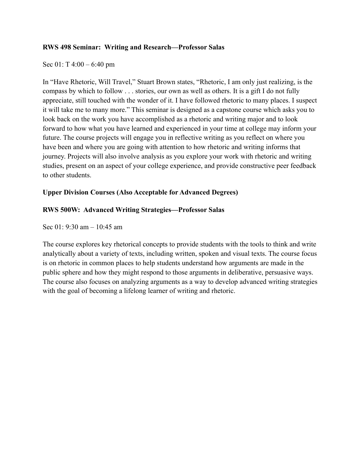## **RWS 498 Seminar: Writing and Research—Professor Salas**

### Sec 01: T 4:00 – 6:40 pm

In "Have Rhetoric, Will Travel," Stuart Brown states, "Rhetoric, I am only just realizing, is the compass by which to follow . . . stories, our own as well as others. It is a gift I do not fully appreciate, still touched with the wonder of it. I have followed rhetoric to many places. I suspect it will take me to many more." This seminar is designed as a capstone course which asks you to look back on the work you have accomplished as a rhetoric and writing major and to look forward to how what you have learned and experienced in your time at college may inform your future. The course projects will engage you in reflective writing as you reflect on where you have been and where you are going with attention to how rhetoric and writing informs that journey. Projects will also involve analysis as you explore your work with rhetoric and writing studies, present on an aspect of your college experience, and provide constructive peer feedback to other students.

## **Upper Division Courses (Also Acceptable for Advanced Degrees)**

## **RWS 500W: Advanced Writing Strategies—Professor Salas**

Sec  $01 \cdot 9.30$  am  $- 10.45$  am

The course explores key rhetorical concepts to provide students with the tools to think and write analytically about a variety of texts, including written, spoken and visual texts. The course focus is on rhetoric in common places to help students understand how arguments are made in the public sphere and how they might respond to those arguments in deliberative, persuasive ways. The course also focuses on analyzing arguments as a way to develop advanced writing strategies with the goal of becoming a lifelong learner of writing and rhetoric.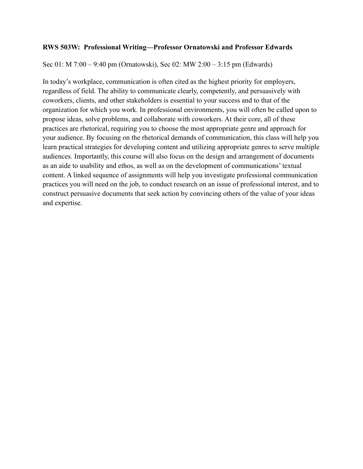### **RWS 503W: Professional Writing—Professor Ornatowski and Professor Edwards**

Sec 01: M 7:00 – 9:40 pm (Ornatowski), Sec 02: MW 2:00 – 3:15 pm (Edwards)

In today's workplace, communication is often cited as the highest priority for employers, regardless of field. The ability to communicate clearly, competently, and persuasively with coworkers, clients, and other stakeholders is essential to your success and to that of the organization for which you work. In professional environments, you will often be called upon to propose ideas, solve problems, and collaborate with coworkers. At their core, all of these practices are rhetorical, requiring you to choose the most appropriate genre and approach for your audience. By focusing on the rhetorical demands of communication, this class will help you learn practical strategies for developing content and utilizing appropriate genres to serve multiple audiences. Importantly, this course will also focus on the design and arrangement of documents as an aide to usability and ethos, as well as on the development of communications' textual content. A linked sequence of assignments will help you investigate professional communication practices you will need on the job, to conduct research on an issue of professional interest, and to construct persuasive documents that seek action by convincing others of the value of your ideas and expertise.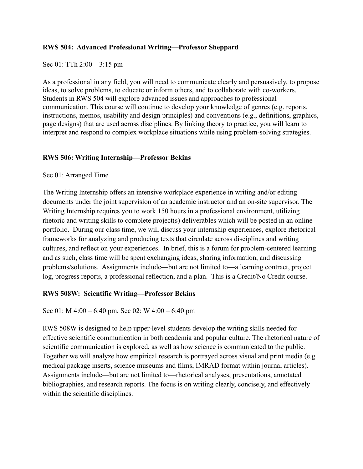# **RWS 504: Advanced Professional Writing—Professor Sheppard**

Sec 01: TTh 2:00 – 3:15 pm

As a professional in any field, you will need to communicate clearly and persuasively, to propose ideas, to solve problems, to educate or inform others, and to collaborate with co-workers. Students in RWS 504 will explore advanced issues and approaches to professional communication. This course will continue to develop your knowledge of genres (e.g. reports, instructions, memos, usability and design principles) and conventions (e.g., definitions, graphics, page designs) that are used across disciplines. By linking theory to practice, you will learn to interpret and respond to complex workplace situations while using problem-solving strategies.

# **RWS 506: Writing Internship—Professor Bekins**

## Sec 01: Arranged Time

The Writing Internship offers an intensive workplace experience in writing and/or editing documents under the joint supervision of an academic instructor and an on-site supervisor. The Writing Internship requires you to work 150 hours in a professional environment, utilizing rhetoric and writing skills to complete project(s) deliverables which will be posted in an online portfolio. During our class time, we will discuss your internship experiences, explore rhetorical frameworks for analyzing and producing texts that circulate across disciplines and writing cultures, and reflect on your experiences. In brief, this is a forum for problem-centered learning and as such, class time will be spent exchanging ideas, sharing information, and discussing problems/solutions. Assignments include—but are not limited to—a learning contract, project log, progress reports, a professional reflection, and a plan. This is a Credit/No Credit course.

# **RWS 508W: Scientific Writing—Professor Bekins**

## Sec 01: M 4:00 – 6:40 pm, Sec 02: W 4:00 – 6:40 pm

RWS 508W is designed to help upper-level students develop the writing skills needed for effective scientific communication in both academia and popular culture. The rhetorical nature of scientific communication is explored, as well as how science is communicated to the public. Together we will analyze how empirical research is portrayed across visual and print media (e.g medical package inserts, science museums and films, IMRAD format within journal articles). Assignments include—but are not limited to—rhetorical analyses, presentations, annotated bibliographies, and research reports. The focus is on writing clearly, concisely, and effectively within the scientific disciplines.